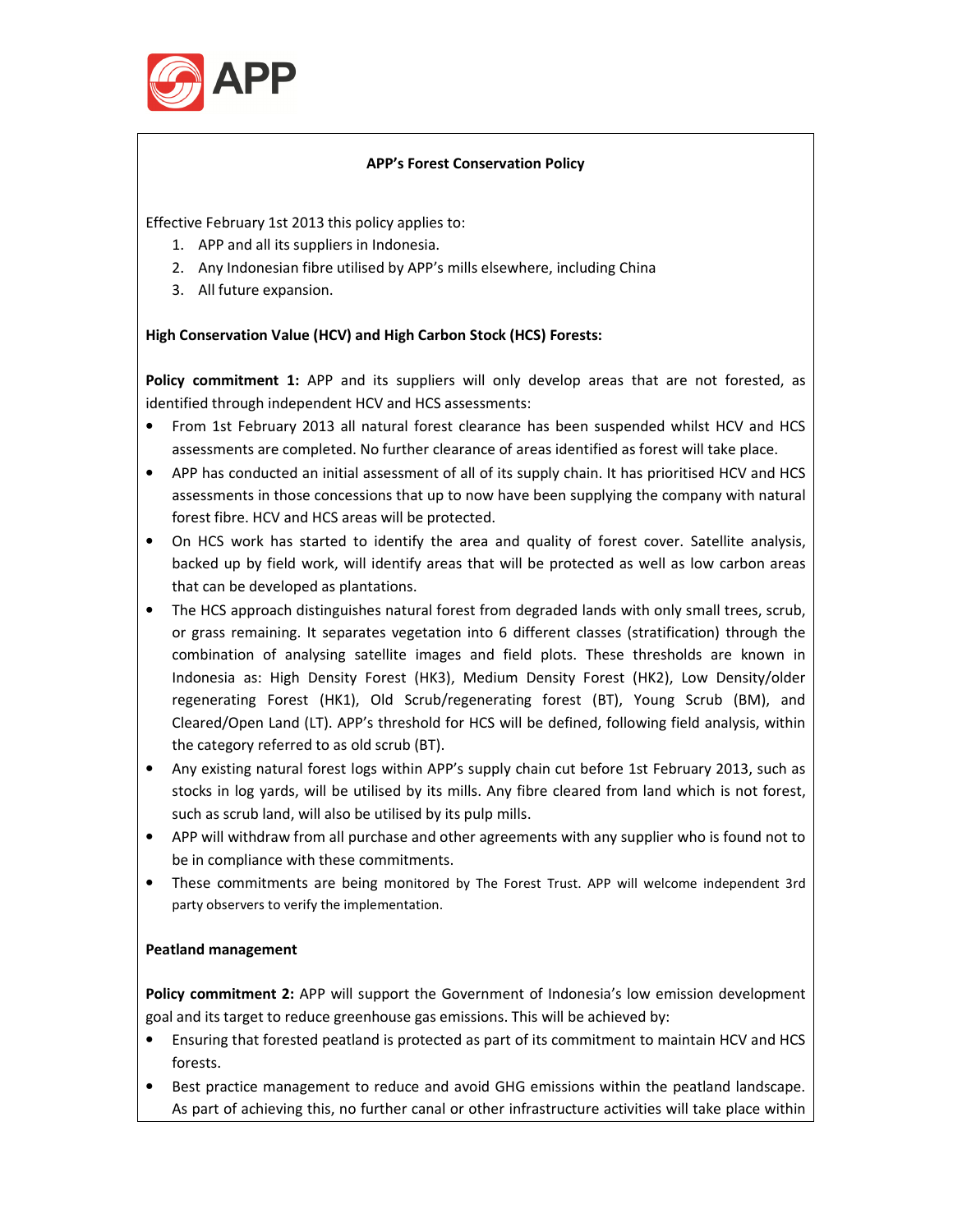

## **APP's Forest Conservation Policy**

Effective February 1st 2013 this policy applies to:

- 1. APP and all its suppliers in Indonesia.
- 2. Any Indonesian fibre utilised by APP's mills elsewhere, including China
- 3. All future expansion.

# **High Conservation Value (HCV) and High Carbon Stock (HCS) Forests:**

**Policy commitment 1:** APP and its suppliers will only develop areas that are not forested, as identified through independent HCV and HCS assessments:

- From 1st February 2013 all natural forest clearance has been suspended whilst HCV and HCS assessments are completed. No further clearance of areas identified as forest will take place.
- APP has conducted an initial assessment of all of its supply chain. It has prioritised HCV and HCS assessments in those concessions that up to now have been supplying the company with natural forest fibre. HCV and HCS areas will be protected.
- On HCS work has started to identify the area and quality of forest cover. Satellite analysis, backed up by field work, will identify areas that will be protected as well as low carbon areas that can be developed as plantations.
- The HCS approach distinguishes natural forest from degraded lands with only small trees, scrub, or grass remaining. It separates vegetation into 6 different classes (stratification) through the combination of analysing satellite images and field plots. These thresholds are known in Indonesia as: High Density Forest (HK3), Medium Density Forest (HK2), Low Density/older regenerating Forest (HK1), Old Scrub/regenerating forest (BT), Young Scrub (BM), and Cleared/Open Land (LT). APP's threshold for HCS will be defined, following field analysis, within the category referred to as old scrub (BT).
- Any existing natural forest logs within APP's supply chain cut before 1st February 2013, such as stocks in log yards, will be utilised by its mills. Any fibre cleared from land which is not forest, such as scrub land, will also be utilised by its pulp mills.
- APP will withdraw from all purchase and other agreements with any supplier who is found not to be in compliance with these commitments.
- These commitments are being monitored by The Forest Trust. APP will welcome independent 3rd party observers to verify the implementation.

# **Peatland management**

**Policy commitment 2:** APP will support the Government of Indonesia's low emission development goal and its target to reduce greenhouse gas emissions. This will be achieved by:

- Ensuring that forested peatland is protected as part of its commitment to maintain HCV and HCS forests.
- Best practice management to reduce and avoid GHG emissions within the peatland landscape. As part of achieving this, no further canal or other infrastructure activities will take place within